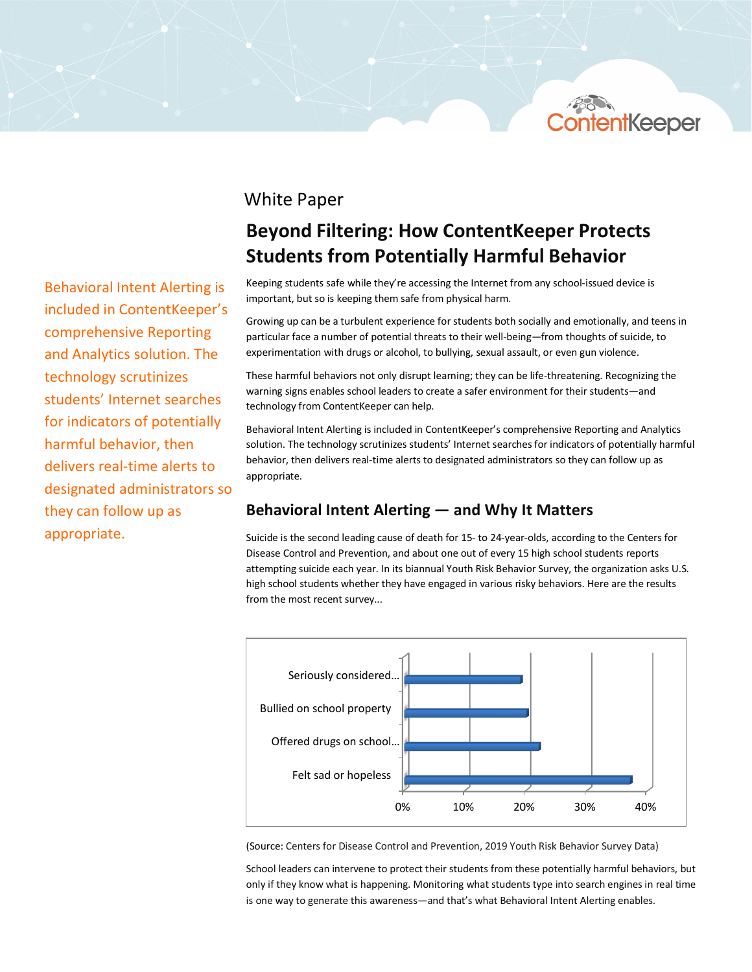

## White Paper

# **Beyond Filtering: How ContentKeeper Protects Students from Potentially Harmful Behavior**

Keeping students safe while they're accessing the Internet from any school-issued device is important, but so is keeping them safe from physical harm.

Growing up can be a turbulent experience for students both socially and emotionally, and teens in particular face a number of potential threats to their well-being—from thoughts of suicide, to experimentation with drugs or alcohol, to bullying, sexual assault, or even gun violence.

These harmful behaviors not only disrupt learning; they can be life-threatening. Recognizing the warning signs enables school leaders to create a safer environment for their students—and technology from ContentKeeper can help.

Behavioral Intent Alerting is included in ContentKeeper's comprehensive Reporting and Analytics solution. The technology scrutinizes students' Internet searches for indicators of potentially harmful behavior, then delivers real-time alerts to designated administrators so they can follow up as appropriate.

### **Behavioral Intent Alerting — and Why It Matters**

Suicide is the second leading cause of death for 15- to 24-year-olds, according to the Centers for Disease Control and Prevention, and about one out of every 15 high school students reports attempting suicide each year. In its biannual Youth Risk Behavior Survey, the organization asks U.S. high school students whether they have engaged in various risky behaviors. Here are the results from the most recent survey...



(Source: Centers for Disease Control and Prevention, 2019 Youth Risk Behavior Survey Data)

School leaders can intervene to protect their students from these potentially harmful behaviors, but only if they know what is happening. Monitoring what students type into search engines in real time is one way to generate this awareness—and that's what Behavioral Intent Alerting enables.

Behavioral Intent Alerting is included in ContentKeeper's comprehensive Reporting and Analytics solution. The technology scrutinizes students' Internet searches for indicators of potentially harmful behavior, then delivers real-time alerts to designated administrators so they can follow up as appropriate.